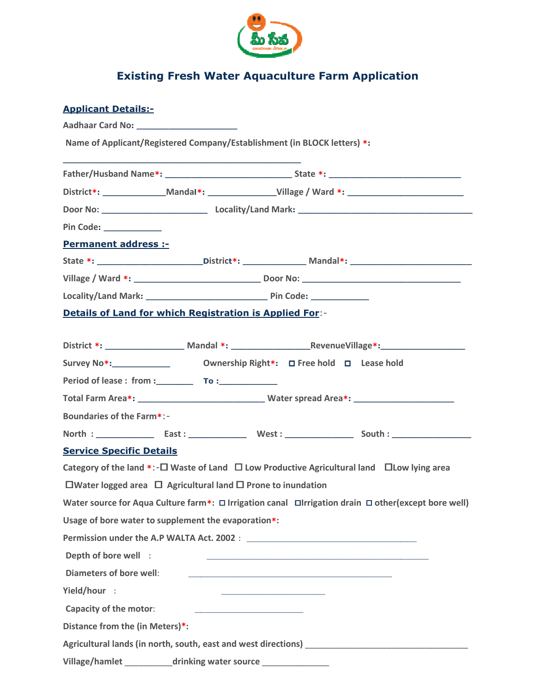

## **Existing Fresh Water Aquaculture Farm Application**

## Applicant Details:-

| Name of Applicant/Registered Company/Establishment (in BLOCK letters) *:              |  |                                                                                                                       |                                                                                                             |  |
|---------------------------------------------------------------------------------------|--|-----------------------------------------------------------------------------------------------------------------------|-------------------------------------------------------------------------------------------------------------|--|
|                                                                                       |  |                                                                                                                       |                                                                                                             |  |
|                                                                                       |  |                                                                                                                       | District*: _________________Mandal*: _____________________Village / Ward *: ________________________        |  |
|                                                                                       |  |                                                                                                                       |                                                                                                             |  |
| Pin Code: _____________                                                               |  |                                                                                                                       |                                                                                                             |  |
| <b>Permanent address :-</b>                                                           |  |                                                                                                                       |                                                                                                             |  |
|                                                                                       |  |                                                                                                                       |                                                                                                             |  |
|                                                                                       |  |                                                                                                                       |                                                                                                             |  |
|                                                                                       |  |                                                                                                                       |                                                                                                             |  |
| <b>Details of Land for which Registration is Applied For:-</b>                        |  |                                                                                                                       |                                                                                                             |  |
|                                                                                       |  |                                                                                                                       | District *: __________________________Mandal *: _________________________________                           |  |
|                                                                                       |  |                                                                                                                       |                                                                                                             |  |
| Period of lease : from : To : To :                                                    |  |                                                                                                                       |                                                                                                             |  |
|                                                                                       |  |                                                                                                                       |                                                                                                             |  |
| <b>Boundaries of the Farm*:-</b>                                                      |  |                                                                                                                       |                                                                                                             |  |
|                                                                                       |  |                                                                                                                       |                                                                                                             |  |
| <b>Service Specific Details</b>                                                       |  |                                                                                                                       |                                                                                                             |  |
|                                                                                       |  |                                                                                                                       | Category of the land *:- $\Box$ Waste of Land $\Box$ Low Productive Agricultural land $\Box$ Low lying area |  |
| $\square$ Water logged area $\square$ Agricultural land $\square$ Prone to inundation |  |                                                                                                                       |                                                                                                             |  |
|                                                                                       |  |                                                                                                                       | Water source for Aqua Culture farm*: □ Irrigation canal □Irrigation drain □ other(except bore well)         |  |
| Usage of bore water to supplement the evaporation*:                                   |  |                                                                                                                       |                                                                                                             |  |
|                                                                                       |  |                                                                                                                       |                                                                                                             |  |
| Depth of bore well :                                                                  |  | <u> 1989 - Johann Barbara, margaret eta biztanleria (h. 1989).</u>                                                    |                                                                                                             |  |
| Diameters of bore well:                                                               |  | <u> 2002 - Jan James James Barnett, amerikansk politik (d. 1888)</u>                                                  |                                                                                                             |  |
| Yield/hour :                                                                          |  | <u> 1999 - Johann Harry Harry Harry Harry Harry Harry Harry Harry Harry Harry Harry Harry Harry Harry Harry Harry</u> |                                                                                                             |  |
| Capacity of the motor:                                                                |  | <u> 1989 - Johann John Stone, mars et al. (</u>                                                                       |                                                                                                             |  |
| Distance from the (in Meters)*:                                                       |  |                                                                                                                       |                                                                                                             |  |
|                                                                                       |  |                                                                                                                       |                                                                                                             |  |
|                                                                                       |  |                                                                                                                       | Village/hamlet _____________drinking water source ___________________                                       |  |